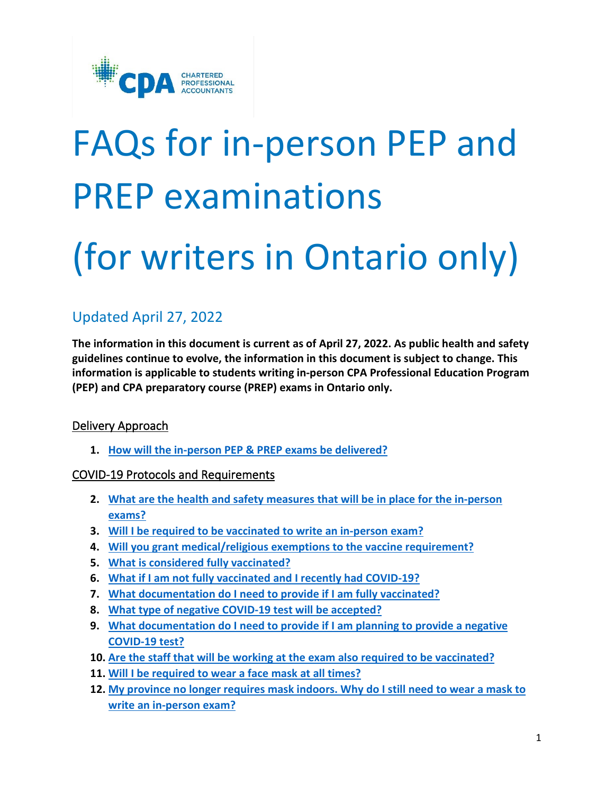

# FAQs for in-person PEP and PREP examinations (for writers in Ontario only)

## Updated April 27, 2022

**The information in this document is current as of April 27, 2022. As public health and safety guidelines continue to evolve, the information in this document is subject to change. This information is applicable to students writing in-person CPA Professional Education Program (PEP) and CPA preparatory course (PREP) exams in Ontario only.**

## Delivery Approach

**1. [How will the in-person PEP & PREP exams be delivered?](#page-2-0)** 

## COVID-19 Protocols and Requirements

- **2. [What are the health and safety measures that will be in place for the in-person](#page-2-1)  [exams?](#page-2-1)**
- **3. [Will I be required to be vaccinated to write an in-person exam?](#page-2-2)**
- **4. [Will you grant medical/religious exemptions to the vaccine requirement?](#page-2-3)**
- **5. [What is considered fully vaccinated?](#page-2-4)**
- **6. [What if I am not fully vaccinated and I recently had COVID-19?](#page-3-0)**
- **7. [What documentation do I need to provide if I am fully vaccinated?](#page-3-1)**
- **8. [What type of negative COVID-19 test will be accepted?](#page-4-0)**
- **9. [What documentation do I need to provide if I am planning to provide a negative](#page-5-0)  [COVID-19 test?](#page-5-0)**
- **10. [Are the staff that will be working at the exam also required to be vaccinated?](#page-6-0)**
- **11. [Will I be required to wear a face mask at all times?](#page-6-1)**
- **12. [My province no longer requires mask indoors. Why do I still need to wear a mask to](#page-6-2)  [write an in-person exam?](#page-6-2)**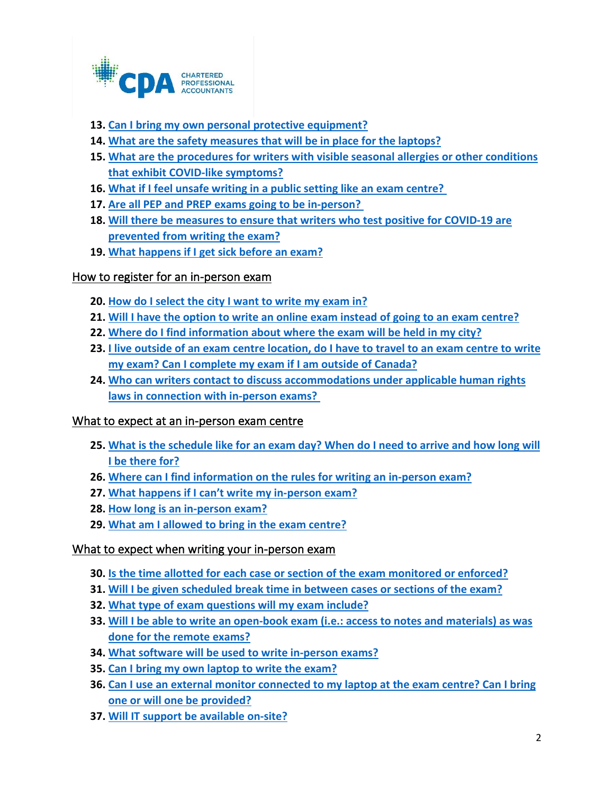

- **13. Can I [bring my own personal protective equipment?](#page-6-3)**
- **14. [What are the safety measures that will be in place for the laptops?](#page-6-4)**
- **15. [What are the procedures for writers with visible seasonal allergies or other conditions](#page-6-5)  [that exhibit COVID-like symptoms?](#page-6-5)**
- **16. [What if I feel unsafe writing in a public setting like an exam centre?](#page-6-6)**
- **17. [Are all PEP and PREP exams going to be in-person?](#page-6-7)**
- **18. [Will there be measures to ensure that writers who test positive for COVID-19 are](#page-6-8)  [prevented from writing the exam?](#page-6-8)**
- **19. [What happens if I get sick before an exam?](#page-7-0)**

## How to register for an in-person exam

- **20. [How do I select the city I want to write my exam in?](#page-7-1)**
- **21. [Will I have the option to write an online exam instead of going to an exam centre?](#page-7-2)**
- **22. [Where do I find information about where the exam will be held in my city?](#page-7-3)**
- **23. [I live outside of an exam centre location, do I have to travel to an exam centre to write](#page-7-4)  [my exam? Can I complete my exam if I am outside of Canada?](#page-7-4)**
- **24. [Who can writers contact to discuss accommodations under applicable human rights](#page-7-5)  [laws in connection with in-person exams?](#page-7-5)**

## What to expect at an in-person exam centre

- **25. [What is the schedule like for an exam day? When do I need to arrive and how long will](#page-8-0)  [I be there for?](#page-8-0)**
- **26. [Where can I find information on the rules for writing an in-person exam?](#page-8-1)**
- **27. [What happens if I can't write my in-person exam?](#page-8-2)**
- **28. [How long is an in-person exam?](#page-8-3)**
- **29. [What am I allowed to bring in the exam centre?](#page-9-0)**

## What to expect when writing your in-person exam

- **30. [Is the time allotted for each case or section of the exam monitored or enforced?](#page-9-1)**
- **31. [Will I be given scheduled break time in between cases or sections of the exam?](#page-9-2)**
- **32. [What type of exam questions will my exam include?](#page-9-3)**
- **33. [Will I be able to write an open-book exam \(i.e.: access to notes and materials\) as was](#page-9-4)  [done for the remote exams?](#page-9-4)**
- **34. [What software will be used to write in-person exams?](#page-10-0)**
- **35. [Can I bring my own laptop to write the exam?](#page-10-1)**
- **36. [Can I use an external monitor connected to my laptop at the exam centre? Can I bring](#page-10-2)  [one or will one be provided?](#page-10-2)**
- **37. [Will IT support be available on-site?](#page-10-3)**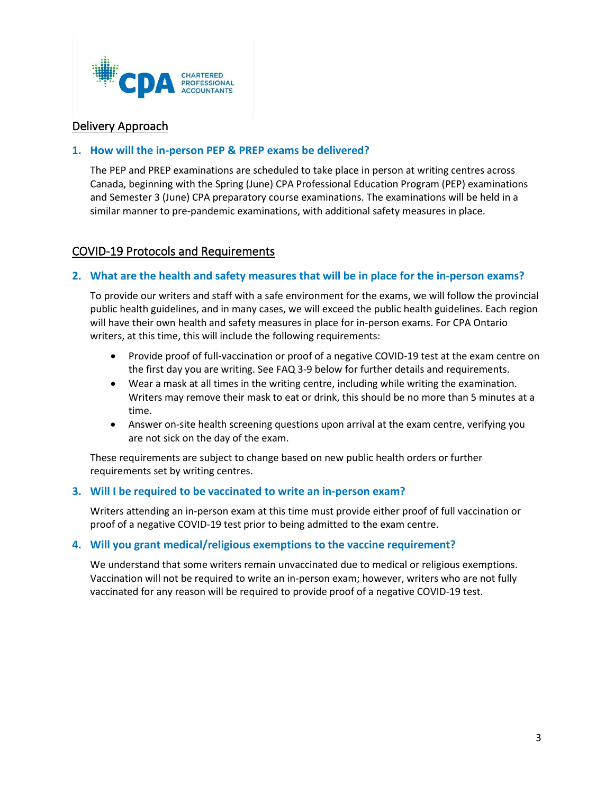

## Delivery Approach

## <span id="page-2-0"></span>**1. How will the in-person PEP & PREP exams be delivered?**

The PEP and PREP examinations are scheduled to take place in person at writing centres across Canada, beginning with the Spring (June) CPA Professional Education Program (PEP) examinations and Semester 3 (June) CPA preparatory course examinations. The examinations will be held in a similar manner to pre-pandemic examinations, with additional safety measures in place.

## COVID-19 Protocols and Requirements

## <span id="page-2-1"></span>**2. What are the health and safety measures that will be in place for the in-person exams?**

To provide our writers and staff with a safe environment for the exams, we will follow the provincial public health guidelines, and in many cases, we will exceed the public health guidelines. Each region will have their own health and safety measures in place for in-person exams. For CPA Ontario writers, at this time, this will include the following requirements:

- Provide proof of full-vaccination or proof of a negative COVID-19 test at the exam centre on the first day you are writing. See FAQ 3-9 below for further details and requirements.
- Wear a mask at all times in the writing centre, including while writing the examination. Writers may remove their mask to eat or drink, this should be no more than 5 minutes at a time.
- Answer on-site health screening questions upon arrival at the exam centre, verifying you are not sick on the day of the exam.

These requirements are subject to change based on new public health orders or further requirements set by writing centres.

### <span id="page-2-2"></span>**3. Will I be required to be vaccinated to write an in-person exam?**

Writers attending an in-person exam at this time must provide either proof of full vaccination or proof of a negative COVID-19 test prior to being admitted to the exam centre.

### <span id="page-2-3"></span>**4. Will you grant medical/religious exemptions to the vaccine requirement?**

<span id="page-2-4"></span>We understand that some writers remain unvaccinated due to medical or religious exemptions. Vaccination will not be required to write an in-person exam; however, writers who are not fully vaccinated for any reason will be required to provide proof of a negative COVID-19 test.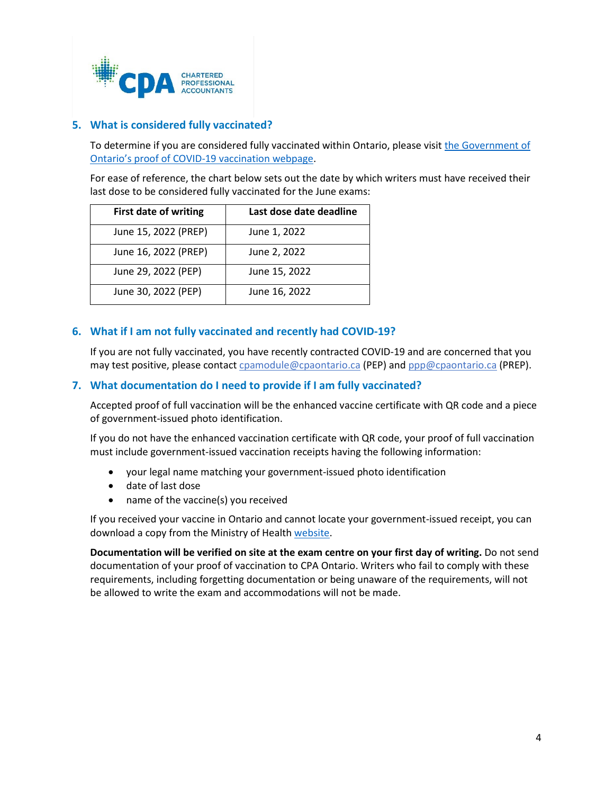

## **5. What is considered fully vaccinated?**

To determine if you are considered fully vaccinated within Ontario, please visit the Government of [Ontario's proof of COVID-19 vaccination webpage.](https://covid-19.ontario.ca/proof-covid-19-vaccination#proof-of-vaccination)

For ease of reference, the chart below sets out the date by which writers must have received their last dose to be considered fully vaccinated for the June exams:

| <b>First date of writing</b> | Last dose date deadline |
|------------------------------|-------------------------|
| June 15, 2022 (PREP)         | June 1, 2022            |
| June 16, 2022 (PREP)         | June 2, 2022            |
| June 29, 2022 (PEP)          | June 15, 2022           |
| June 30, 2022 (PEP)          | June 16, 2022           |

## <span id="page-3-0"></span>**6. What if I am not fully vaccinated and recently had COVID-19?**

If you are not fully vaccinated, you have recently contracted COVID-19 and are concerned that you may test positive, please contact [cpamodule@cpaontario.ca](mailto:cpamodule@cpaontario.ca) (PEP) and [ppp@cpaontario.ca](mailto:ppp@cpaontario.ca) (PREP).

### <span id="page-3-1"></span>**7. What documentation do I need to provide if I am fully vaccinated?**

Accepted proof of full vaccination will be the enhanced vaccine certificate with QR code and a piece of government-issued photo identification.

If you do not have the enhanced vaccination certificate with QR code, your proof of full vaccination must include government-issued vaccination receipts having the following information:

- your legal name matching your government-issued photo identification
- date of last dose
- name of the vaccine(s) you received

If you received your vaccine in Ontario and cannot locate your government-issued receipt, you can download a copy from the Ministry of Healt[h website.](https://covid-19.ontario.ca/get-proof/)

**Documentation will be verified on site at the exam centre on your first day of writing.** Do not send documentation of your proof of vaccination to CPA Ontario. Writers who fail to comply with these requirements, including forgetting documentation or being unaware of the requirements, will not be allowed to write the exam and accommodations will not be made.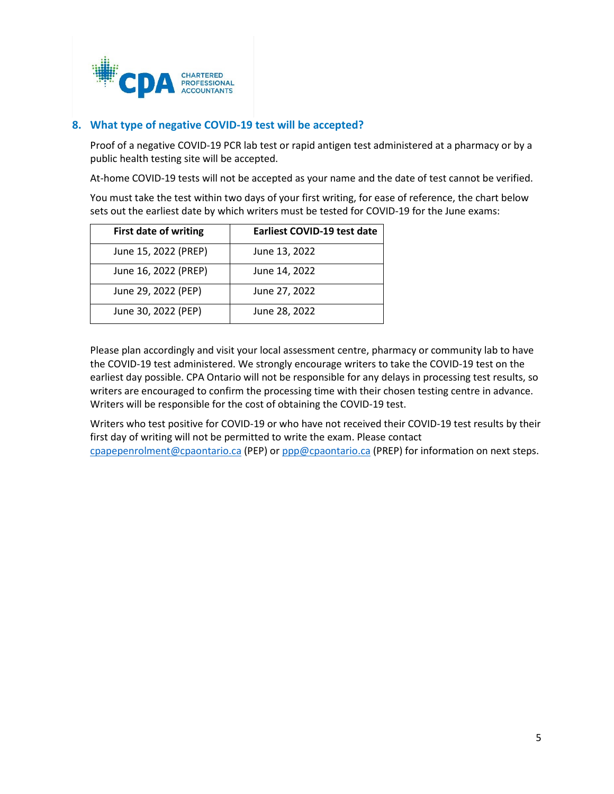

## <span id="page-4-0"></span>**8. What type of negative COVID-19 test will be accepted?**

Proof of a negative COVID-19 PCR lab test or rapid antigen test administered at a pharmacy or by a public health testing site will be accepted.

At-home COVID-19 tests will not be accepted as your name and the date of test cannot be verified.

You must take the test within two days of your first writing, for ease of reference, the chart below sets out the earliest date by which writers must be tested for COVID-19 for the June exams:

| <b>First date of writing</b> | <b>Earliest COVID-19 test date</b> |
|------------------------------|------------------------------------|
| June 15, 2022 (PREP)         | June 13, 2022                      |
| June 16, 2022 (PREP)         | June 14, 2022                      |
| June 29, 2022 (PEP)          | June 27, 2022                      |
| June 30, 2022 (PEP)          | June 28, 2022                      |

Please plan accordingly and visit your local assessment centre, pharmacy or community lab to have the COVID-19 test administered. We strongly encourage writers to take the COVID-19 test on the earliest day possible. CPA Ontario will not be responsible for any delays in processing test results, so writers are encouraged to confirm the processing time with their chosen testing centre in advance. Writers will be responsible for the cost of obtaining the COVID-19 test.

Writers who test positive for COVID-19 or who have not received their COVID-19 test results by their first day of writing will not be permitted to write the exam. Please contact [cpapepenrolment@cpaontario.ca](mailto:cpapepenrolment@cpaontario.ca) (PEP) or [ppp@cpaontario.ca](mailto:ppp@cpaontario.ca) (PREP) for information on next steps.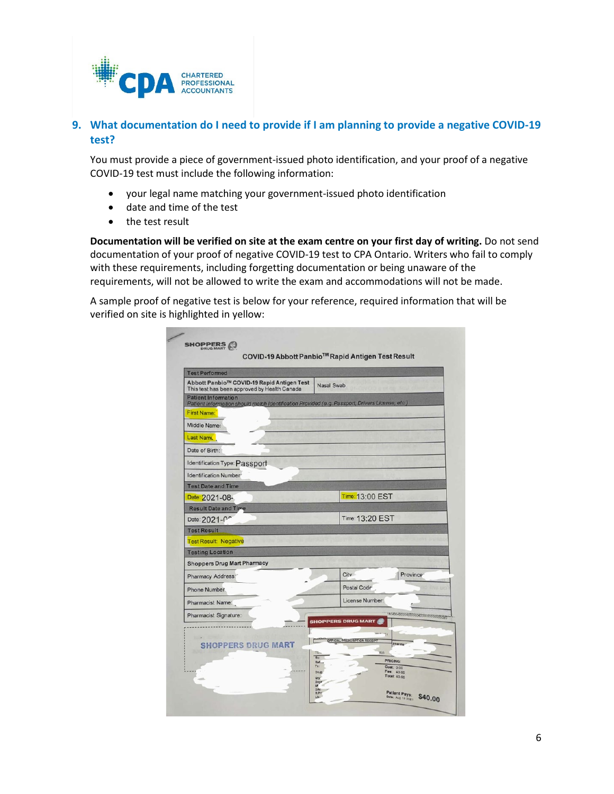

## <span id="page-5-0"></span>**9. What documentation do I need to provide if I am planning to provide a negative COVID-19 test?**

You must provide a piece of government-issued photo identification, and your proof of a negative COVID-19 test must include the following information:

- your legal name matching your government-issued photo identification
- date and time of the test
- the test result

**Documentation will be verified on site at the exam centre on your first day of writing.** Do not send documentation of your proof of negative COVID-19 test to CPA Ontario. Writers who fail to comply with these requirements, including forgetting documentation or being unaware of the requirements, will not be allowed to write the exam and accommodations will not be made.

A sample proof of negative test is below for your reference, required information that will be verified on site is highlighted in yellow:

| <b>Test Performed</b>                                                                                                                               |                                                                                                                                                                                        |
|-----------------------------------------------------------------------------------------------------------------------------------------------------|----------------------------------------------------------------------------------------------------------------------------------------------------------------------------------------|
| Abbott Panbio™ COVID-19 Rapid Antigen Test<br>This test has been approved by Health Canada                                                          | Nasal Swab                                                                                                                                                                             |
| <b>Patient Information</b><br>Patient Information should match Identification Provided (e.g. Passport, Drivers License, etc.)<br><b>First Name:</b> |                                                                                                                                                                                        |
| Middle Name:                                                                                                                                        |                                                                                                                                                                                        |
| Last Name                                                                                                                                           |                                                                                                                                                                                        |
| Date of Birth:                                                                                                                                      |                                                                                                                                                                                        |
| Identification Type: Passport                                                                                                                       |                                                                                                                                                                                        |
| Identification Number                                                                                                                               |                                                                                                                                                                                        |
| <b>Test Date and Time</b>                                                                                                                           |                                                                                                                                                                                        |
| Date: 2021-08-                                                                                                                                      | Time: 13:00 EST                                                                                                                                                                        |
| <b>Result Date and Time</b>                                                                                                                         |                                                                                                                                                                                        |
| Date: 2021-00                                                                                                                                       | Time: 13:20 EST                                                                                                                                                                        |
| <b>Test Result</b>                                                                                                                                  |                                                                                                                                                                                        |
| <b>Test Result: Negative</b>                                                                                                                        |                                                                                                                                                                                        |
| <b>Testing Location</b>                                                                                                                             |                                                                                                                                                                                        |
| <b>Shoppers Drug Mart Pharmacy</b>                                                                                                                  |                                                                                                                                                                                        |
| Pharmacy Address:                                                                                                                                   | City <sup>-</sup><br>Province <sup>®</sup>                                                                                                                                             |
| Phone Number.                                                                                                                                       | <b>Postal Code</b>                                                                                                                                                                     |
| <b>Pharmacist Name:</b>                                                                                                                             | License Number:                                                                                                                                                                        |
| Pharmacist Signature:                                                                                                                               | 10043049050465556045566665666666666<br><b>SHOPPERS DRUG MART</b>                                                                                                                       |
| <b>SHOPPERS DRUG MART</b>                                                                                                                           | OFFICIAL PRESCRIPTION RECEIP<br>Pharma<br>805<br>Rx<br>PRICING:<br>Refi<br>Tx:<br>Cost: 0.00<br>Fee: 40.00<br>Drug<br>Total: 40.00<br>aty<br>Days<br>M<br>DIN<br>Patlent Pays: \$40.00 |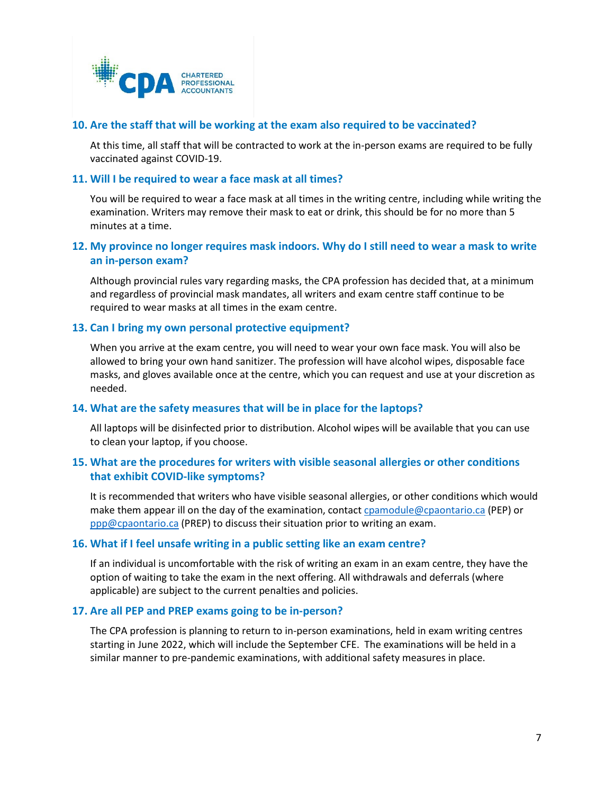

### <span id="page-6-0"></span>**10. Are the staff that will be working at the exam also required to be vaccinated?**

At this time, all staff that will be contracted to work at the in-person exams are required to be fully vaccinated against COVID-19.

### <span id="page-6-1"></span>**11. Will I be required to wear a face mask at all times?**

You will be required to wear a face mask at all times in the writing centre, including while writing the examination. Writers may remove their mask to eat or drink, this should be for no more than 5 minutes at a time.

## <span id="page-6-2"></span>**12. My province no longer requires mask indoors. Why do I still need to wear a mask to write an in-person exam?**

Although provincial rules vary regarding masks, the CPA profession has decided that, at a minimum and regardless of provincial mask mandates, all writers and exam centre staff continue to be required to wear masks at all times in the exam centre.

## <span id="page-6-3"></span>**13. Can I bring my own personal protective equipment?**

When you arrive at the exam centre, you will need to wear your own face mask. You will also be allowed to bring your own hand sanitizer. The profession will have alcohol wipes, disposable face masks, and gloves available once at the centre, which you can request and use at your discretion as needed.

### <span id="page-6-4"></span>**14. What are the safety measures that will be in place for the laptops?**

All laptops will be disinfected prior to distribution. Alcohol wipes will be available that you can use to clean your laptop, if you choose.

## <span id="page-6-5"></span>**15. What are the procedures for writers with visible seasonal allergies or other conditions that exhibit COVID-like symptoms?**

It is recommended that writers who have visible seasonal allergies, or other conditions which would make them appear ill on the day of the examination, contact [cpamodule@cpaontario.ca](mailto:cpamodule@cpaontario.ca) (PEP) or [ppp@cpaontario.ca](mailto:ppp@cpaontario.ca) (PREP) to discuss their situation prior to writing an exam.

### <span id="page-6-6"></span>**16. What if I feel unsafe writing in a public setting like an exam centre?**

If an individual is uncomfortable with the risk of writing an exam in an exam centre, they have the option of waiting to take the exam in the next offering. All withdrawals and deferrals (where applicable) are subject to the current penalties and policies.

### <span id="page-6-8"></span><span id="page-6-7"></span>**17. Are all PEP and PREP exams going to be in-person?**

The CPA profession is planning to return to in-person examinations, held in exam writing centres starting in June 2022, which will include the September CFE. The examinations will be held in a similar manner to pre-pandemic examinations, with additional safety measures in place.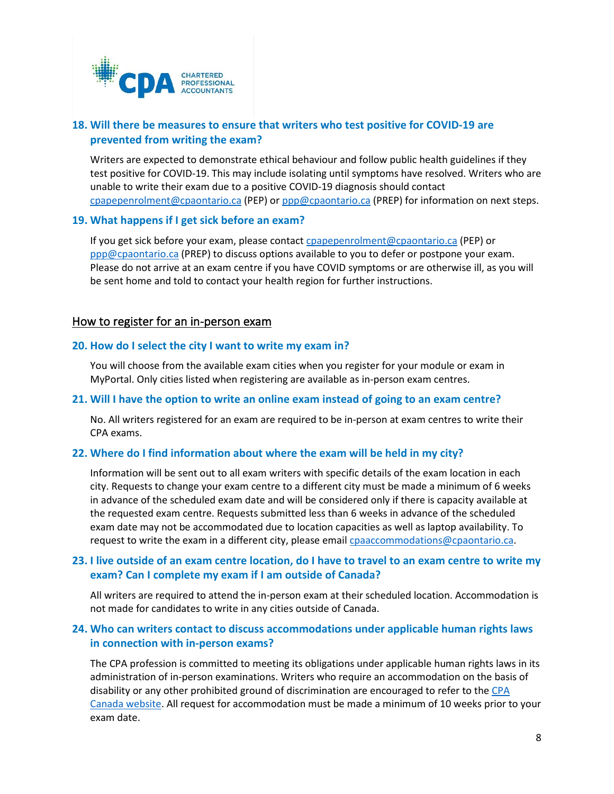

## **18. Will there be measures to ensure that writers who test positive for COVID-19 are prevented from writing the exam?**

Writers are expected to demonstrate ethical behaviour and follow public health guidelines if they test positive for COVID-19. This may include isolating until symptoms have resolved. Writers who are unable to write their exam due to a positive COVID-19 diagnosis should contact [cpapepenrolment@cpaontario.ca](mailto:cpapepenrolment@cpaontario.ca) (PEP) or [ppp@cpaontario.ca](mailto:ppp@cpaontario.ca) (PREP) for information on next steps.

### <span id="page-7-0"></span>**19. What happens if I get sick before an exam?**

If you get sick before your exam, please contact [cpapepenrolment@cpaontario.ca](mailto:cpapepenrolment@cpaontario.ca) (PEP) or [ppp@cpaontario.ca](mailto:ppp@cpaontario.ca) (PREP) to discuss options available to you to defer or postpone your exam. Please do not arrive at an exam centre if you have COVID symptoms or are otherwise ill, as you will be sent home and told to contact your health region for further instructions.

## How to register for an in-person exam

### <span id="page-7-1"></span>**20. How do I select the city I want to write my exam in?**

You will choose from the available exam cities when you register for your module or exam in MyPortal. Only cities listed when registering are available as in-person exam centres.

### <span id="page-7-2"></span>**21. Will I have the option to write an online exam instead of going to an exam centre?**

No. All writers registered for an exam are required to be in-person at exam centres to write their CPA exams.

### <span id="page-7-3"></span>**22. Where do I find information about where the exam will be held in my city?**

Information will be sent out to all exam writers with specific details of the exam location in each city. Requests to change your exam centre to a different city must be made a minimum of 6 weeks in advance of the scheduled exam date and will be considered only if there is capacity available at the requested exam centre. Requests submitted less than 6 weeks in advance of the scheduled exam date may not be accommodated due to location capacities as well as laptop availability. To request to write the exam in a different city, please emai[l cpaaccommodations@cpaontario.ca.](mailto:cpaaccommodations@cpaontario.ca)

## <span id="page-7-4"></span>**23. I live outside of an exam centre location, do I have to travel to an exam centre to write my exam? Can I complete my exam if I am outside of Canada?**

All writers are required to attend the in-person exam at their scheduled location. Accommodation is not made for candidates to write in any cities outside of Canada.

## <span id="page-7-5"></span>**24. Who can writers contact to discuss accommodations under applicable human rights laws in connection with in-person exams?**

The CPA profession is committed to meeting its obligations under applicable human rights laws in its administration of in-person examinations. Writers who require an accommodation on the basis of disability or any other prohibited ground of discrimination are encouraged to refer to th[e CPA](https://www.cpacanada.ca/en/become-a-cpa/accessibility-accommodation-requests)  [Canada website.](https://www.cpacanada.ca/en/become-a-cpa/accessibility-accommodation-requests) All request for accommodation must be made a minimum of 10 weeks prior to your exam date.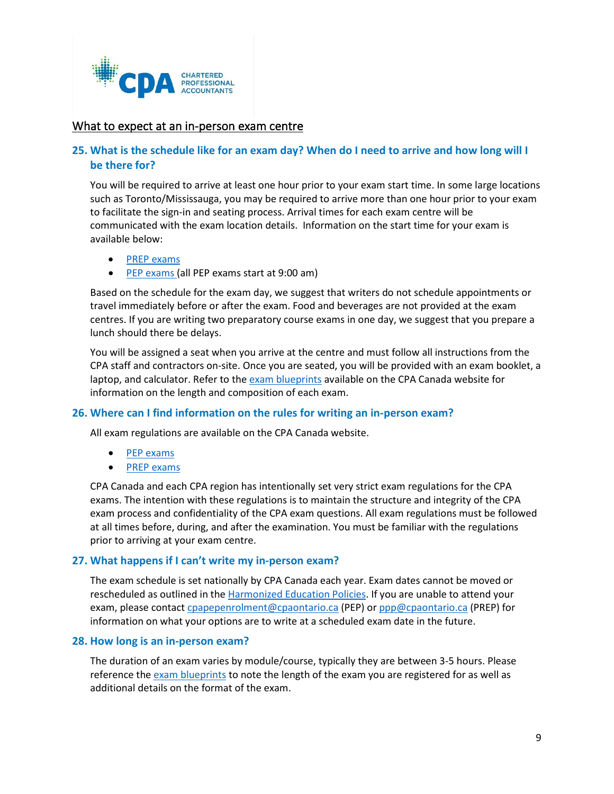

## What to expect at an in-person exam centre

## <span id="page-8-0"></span>**25. What is the schedule like for an exam day? When do I need to arrive and how long will I be there for?**

You will be required to arrive at least one hour prior to your exam start time. In some large locations such as Toronto/Mississauga, you may be required to arrive more than one hour prior to your exam to facilitate the sign-in and seating process. Arrival times for each exam centre will be communicated with the exam location details. Information on the start time for your exam is available below:

- [PREP exams](https://www.cpaontario.ca/students/prerequisite-preparatory-courses/preparatory-schedules?filter15834=%7B%22semester%22%3A%7B%22label%22%3A%22Semester%203%202022%20(April%20start)%22%2C%22value%22%3A%22Semester%203%202022%20(April%20start)%22%7D%7D)
- [PEP exams](https://www.cpaontario.ca/students/professional-education-program/schedules) (all PEP exams start at 9:00 am)

Based on the schedule for the exam day, we suggest that writers do not schedule appointments or travel immediately before or after the exam. Food and beverages are not provided at the exam centres. If you are writing two preparatory course exams in one day, we suggest that you prepare a lunch should there be delays.

You will be assigned a seat when you arrive at the centre and must follow all instructions from the CPA staff and contractors on-site. Once you are seated, you will be provided with an exam booklet, a laptop, and calculator. Refer to the [exam blueprints](https://www.cpacanada.ca/en/become-a-cpa/certification-resource-centre/resources-for-cpa-evaluation) available on the CPA Canada website for information on the length and composition of each exam.

## <span id="page-8-1"></span>**26. Where can I find information on the rules for writing an in-person exam?**

All exam regulations are available on the CPA Canada website.

- [PEP e](https://www.cpacanada.ca/en/become-a-cpa/cpa-certification-program-evaluation/cpa-examination-regulations)xams
- [PREP exams](https://www.cpacanada.ca/en/become-a-cpa/cpa-prep-becoming-a-cpa/examination-regulations-for-cpa-preparatory-courses)

CPA Canada and each CPA region has intentionally set very strict exam regulations for the CPA exams. The intention with these regulations is to maintain the structure and integrity of the CPA exam process and confidentiality of the CPA exam questions. All exam regulations must be followed at all times before, during, and after the examination. You must be familiar with the regulations prior to arriving at your exam centre.

### <span id="page-8-2"></span>**27. What happens if I can't write my in-person exam?**

The exam schedule is set nationally by CPA Canada each year. Exam dates cannot be moved or rescheduled as outlined in the [Harmonized Education Policies.](https://www.cpacanada.ca/en/become-a-cpa/why-become-a-cpa/the-cpa-certification-program/cpa-harmonized-education-policies) If you are unable to attend your exam, please contact [cpapepenrolment@cpaontario.ca](mailto:cpapepenrolment@cpaontario.ca) (PEP) or [ppp@cpaontario.ca](mailto:ppp@cpaontario.ca) (PREP) for information on what your options are to write at a scheduled exam date in the future.

### <span id="page-8-3"></span>**28. How long is an in-person exam?**

The duration of an exam varies by module/course, typically they are between 3-5 hours. Please reference the [exam blueprints](https://www.cpacanada.ca/en/become-a-cpa/certification-resource-centre/resources-for-cpa-evaluation) to note the length of the exam you are registered for as well as additional details on the format of the exam.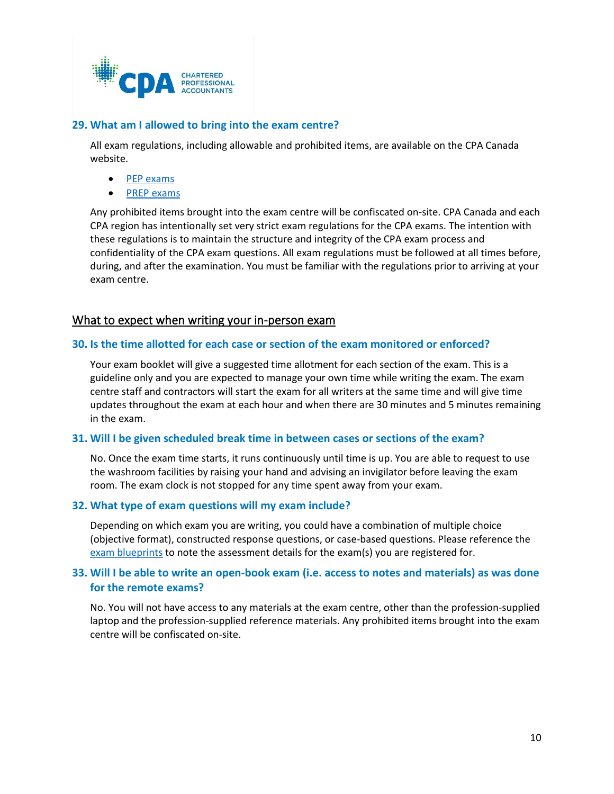

## <span id="page-9-0"></span>**29. What am I allowed to bring into the exam centre?**

All exam regulations, including allowable and prohibited items, are available on the CPA Canada website.

- [PEP exams](https://www.cpacanada.ca/en/become-a-cpa/cpa-certification-program-evaluation/cpa-examination-regulations)
- [PREP exams](https://www.cpacanada.ca/en/become-a-cpa/cpa-prep-becoming-a-cpa/examination-regulations-for-cpa-preparatory-courses)

Any prohibited items brought into the exam centre will be confiscated on-site. CPA Canada and each CPA region has intentionally set very strict exam regulations for the CPA exams. The intention with these regulations is to maintain the structure and integrity of the CPA exam process and confidentiality of the CPA exam questions. All exam regulations must be followed at all times before, during, and after the examination. You must be familiar with the regulations prior to arriving at your exam centre.

## What to expect when writing your in-person exam

#### <span id="page-9-1"></span>**30. Is the time allotted for each case or section of the exam monitored or enforced?**

Your exam booklet will give a suggested time allotment for each section of the exam. This is a guideline only and you are expected to manage your own time while writing the exam. The exam centre staff and contractors will start the exam for all writers at the same time and will give time updates throughout the exam at each hour and when there are 30 minutes and 5 minutes remaining in the exam.

#### <span id="page-9-2"></span>**31. Will I be given scheduled break time in between cases or sections of the exam?**

No. Once the exam time starts, it runs continuously until time is up. You are able to request to use the washroom facilities by raising your hand and advising an invigilator before leaving the exam room. The exam clock is not stopped for any time spent away from your exam.

### <span id="page-9-3"></span>**32. What type of exam questions will my exam include?**

Depending on which exam you are writing, you could have a combination of multiple choice (objective format), constructed response questions, or case-based questions. Please reference the [exam blueprints](https://www.cpacanada.ca/en/become-a-cpa/certification-resource-centre/resources-for-cpa-evaluation) to note the assessment details for the exam(s) you are registered for.

## <span id="page-9-4"></span>**33. Will I be able to write an open-book exam (i.e. access to notes and materials) as was done for the remote exams?**

No. You will not have access to any materials at the exam centre, other than the profession-supplied laptop and the profession-supplied reference materials. Any prohibited items brought into the exam centre will be confiscated on-site.